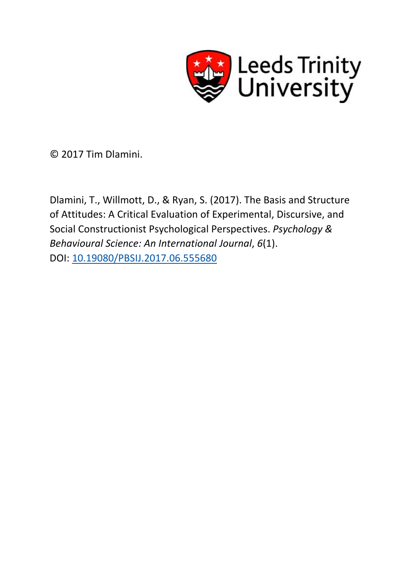

© 2017 Tim Dlamini.

Dlamini, T., Willmott, D., & Ryan, S. (2017). The Basis and Structure of Attitudes: A Critical Evaluation of Experimental, Discursive, and Social Constructionist Psychological Perspectives. *Psychology & Behavioural Science: An International Journal*, *6*(1). DOI: [10.19080/PBSIJ.2017.06.555680](http://dx.doi.org/10.19080/PBSIJ.2017.06.555680)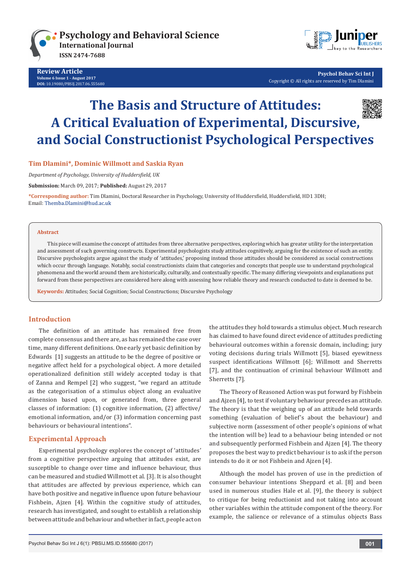

**Review Article Volume 6 Issue 1 - August 2017 [DOI:](http://dx.doi.org/10.19080/PBSIJ.2017.02.555576)** [10.19080/PBSIJ.2017.06.5556](http://dx.doi.org/10.19080/PBSIJ.2017.06.555680)80



**Psychol Behav Sci Int J** Copyright © All rights are reserved by Tim Dlamini

# **The Basis and Structure of Attitudes: A Critical Evaluation of Experimental, Discursive, and Social Constructionist Psychological Perspectives**

# **Tim Dlamini\*, Dominic Willmott and Saskia Ryan**

*Department of Psychology, University of Huddersfield, UK*

**Submission:** March 09, 2017; **Published:** August 29, 2017

**\*Corresponding author:** Tim Dlamini, Doctoral Researcher in Psychology, University of Huddersfield, Huddersfield, HD1 3DH; Email: Themba.Dlamini@hud.ac.uk

#### **Abstract**

This piece will examine the concept of attitudes from three alternative perspectives, exploring which has greater utility for the interpretation and assessment of such governing constructs. Experimental psychologists study attitudes cognitively, arguing for the existence of such an entity. Discursive psychologists argue against the study of 'attitudes,' proposing instead those attitudes should be considered as social constructions which occur through language. Notably, social constructionists claim that categories and concepts that people use to understand psychological phenomena and the world around them are historically, culturally, and contextually specific. The many differing viewpoints and explanations put forward from these perspectives are considered here along with assessing how reliable theory and research conducted to date is deemed to be.

**Keywords:** Attitudes; Social Cognition; Social Constructions; Discursive Psychology

### **Introduction**

The definition of an attitude has remained free from complete consensus and there are, as has remained the case over time, many different definitions. One early yet basic definition by Edwards [1] suggests an attitude to be the degree of positive or negative affect held for a psychological object. A more detailed operationalized definition still widely accepted today is that of Zanna and Rempel [2] who suggest, "we regard an attitude as the categorisation of a stimulus object along an evaluative dimension based upon, or generated from, three general classes of information: (1) cognitive information, (2) affective/ emotional information, and/or (3) information concerning past behaviours or behavioural intentions".

#### **Experimental Approach**

Experimental psychology explores the concept of 'attitudes' from a cognitive perspective arguing that attitudes exist, are susceptible to change over time and influence behaviour, thus can be measured and studied Willmott et al. [3]. It is also thought that attitudes are affected by previous experience, which can have both positive and negative influence upon future behaviour Fishbein, Ajzen [4]. Within the cognitive study of attitudes, research has investigated, and sought to establish a relationship between attitude and behaviour and whether in fact, people act on

the attitudes they hold towards a stimulus object. Much research has claimed to have found direct evidence of attitudes predicting behavioural outcomes within a forensic domain, including; jury voting decisions during trials Willmott [5], biased eyewitness suspect identifications Willmott [6]; Willmott and Sherretts [7], and the continuation of criminal behaviour Willmott and Sherretts [7].

The Theory of Reasoned Action was put forward by Fishbein and Ajzen [4], to test if voluntary behaviour precedes an attitude. The theory is that the weighing up of an attitude held towards something (evaluation of belief's about the behaviour) and subjective norm (assessment of other people's opinions of what the intention will be) lead to a behaviour being intended or not and subsequently performed Fishbein and Ajzen [4]. The theory proposes the best way to predict behaviour is to ask if the person intends to do it or not Fishbein and Ajzen [4].

Although the model has proven of use in the prediction of consumer behaviour intentions Sheppard et al. [8] and been used in numerous studies Hale et al. [9], the theory is subject to critique for being reductionist and not taking into account other variables within the attitude component of the theory. For example, the salience or relevance of a stimulus objects Bass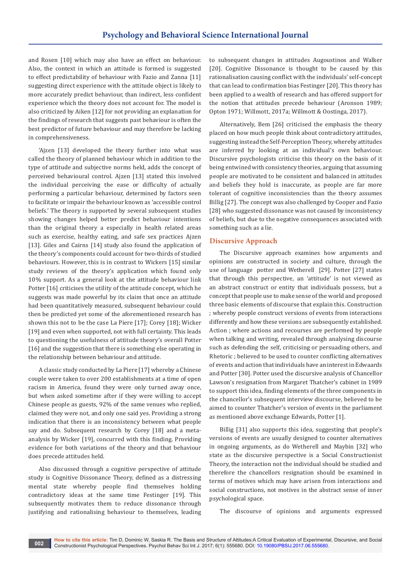and Rosen [10] which may also have an effect on behaviour. Also, the context in which an attitude is formed is suggested to effect predictability of behaviour with Fazio and Zanna [11] suggesting direct experience with the attitude object is likely to more accurately predict behaviour, than indirect, less confident experience which the theory does not account for. The model is also criticized by Aiken [12] for not providing an explanation for the findings of research that suggests past behaviour is often the best predictor of future behaviour and may therefore be lacking in comprehensiveness.

'Ajzen [13] developed the theory further into what was called the theory of planned behaviour which in addition to the type of attitude and subjective norms held, adds the concept of perceived behavioural control. Ajzen [13] stated this involved the individual perceiving the ease or difficulty of actually performing a particular behaviour, determined by factors seen to facilitate or impair the behaviour known as 'accessible control beliefs.' The theory is supported by several subsequent studies showing changes helped better predict behaviour intentions than the original theory a especially in health related areas such as exercise, healthy eating, and safe sex practices Ajzen [13]. Giles and Cairns [14] study also found the application of the theory's components could account for two-thirds of studied behaviours. However, this is in contrast to Wickers [15] similar study reviews of the theory's application which found only 10% support. As a general look at the attitude behaviour link Potter [16] criticises the utility of the attitude concept, which he suggests was made powerful by its claim that once an attitude had been quantitatively measured, subsequent behaviour could then be predicted yet some of the aforementioned research has shown this not to be the case La Piere [17]; Corey [18]; Wicker [19] and even when supported, not with full certainty. This leads to questioning the usefulness of attitude theory's overall Potter [16] and the suggestion that there is something else operating in the relationship between behaviour and attitude.

A classic study conducted by La Piere [17] whereby a Chinese couple were taken to over 200 establishments at a time of open racism in America, found they were only turned away once, but when asked sometime after if they were willing to accept Chinese people as guests, 92% of the same venues who replied, claimed they were not, and only one said yes. Providing a strong indication that there is an inconsistency between what people say and do. Subsequent research by Corey [18] and a metaanalysis by Wicker [19], concurred with this finding. Providing evidence for both variations of the theory and that behaviour does precede attitudes held.

Also discussed through a cognitive perspective of attitude study is Cognitive Dissonance Theory, defined as a distressing mental state whereby people find themselves holding contradictory ideas at the same time Festinger [19]. This subsequently motivates them to reduce dissonance through justifying and rationalising behaviour to themselves, leading

to subsequent changes in attitudes Augoustinos and Walker [20]. Cognitive Dissonance is thought to be caused by this rationalisation causing conflict with the individuals' self-concept that can lead to confirmation bias Festinger [20]. This theory has been applied to a wealth of research and has offered support for the notion that attitudes precede behaviour (Aronson 1989; Opton 1971; Willmott, 2017a; Willmott & Oostinga, 2017).

Alternatively, Bem [26] criticised the emphasis the theory placed on how much people think about contradictory attitudes, suggesting instead the Self-Perception Theory, whereby attitudes are inferred by looking at an individual's own behaviour. Discursive psychologists criticise this theory on the basis of it being entwined with consistency theories, arguing that assuming people are motivated to be consistent and balanced in attitudes and beliefs they hold is inaccurate, as people are far more tolerant of cognitive inconsistencies than the theory assumes Billig [27]. The concept was also challenged by Cooper and Fazio [28] who suggested dissonance was not caused by inconsistency of beliefs, but due to the negative consequences associated with something such as a lie.

#### **Discursive Approach**

The Discursive approach examines how arguments and opinions are constructed in society and culture, through the use of language potter and Wetherell [29]. Potter [27] states that through this perspective, an 'attitude' is not viewed as an abstract construct or entity that individuals possess, but a concept that people use to make sense of the world and proposed three basic elements of discourse that explain this. Construction ; whereby people construct versions of events from interactions differently and how these versions are subsequently established. Action ; where actions and recourses are performed by people when talking and writing, revealed through analysing discourse such as defending the self, criticising or persuading others, and Rhetoric ; believed to be used to counter conflicting alternatives of events and action that individuals have an interest in Edwaards and Potter [30]. Potter used the discursive analysis of Chancellor Lawson's resignation from Margaret Thatcher's cabinet in 1989 to support this idea, finding elements of the three components in the chancellor's subsequent interview discourse, believed to be aimed to counter Thatcher's version of events in the parliament as mentioned above exchange Edwards, Potter [1].

Billig [31] also supports this idea, suggesting that people's versions of events are usually designed to counter alternatives in ongoing arguments, as do Wetherell and Maybin [32] who state as the discursive perspective is a Social Constructionist Theory, the interaction not the individual should be studied and therefore the chancellors resignation should be examined in terms of motives which may have arisen from interactions and social constructions, not motives in the abstract sense of inner psychological space.

The discourse of opinions and arguments expressed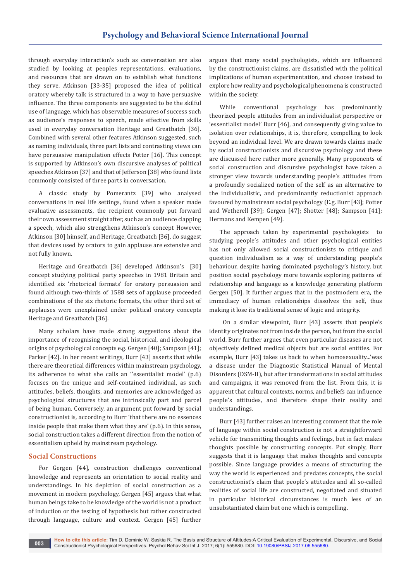through everyday interaction's such as conversation are also studied by looking at peoples representations, evaluations, and resources that are drawn on to establish what functions they serve. Atkinson [33-35] proposed the idea of political oratory whereby talk is structured in a way to have persuasive influence. The three components are suggested to be the skilful use of language, which has observable measures of success such as audience's responses to speech, made effective from skills used in everyday conversation Heritage and Greatbatch [36]. Combined with several other features Atkinson suggested, such as naming individuals, three part lists and contrasting views can have persuasive manipulation effects Potter [16]. This concept is supported by Atkinson's own discursive analyses of political speeches Atkinson [37] and that of Jefferson [38] who found lists commonly consisted of three parts in conversation.

A classic study by Pomerantz [39] who analysed conversations in real life settings, found when a speaker made evaluative assessments, the recipient commonly put forward their own assessment straight after, such as an audience clapping a speech, which also strengthens Atkinson's concept However, Atkinson [30] himself, and Heritage, Greatbatch [36], do suggest that devices used by orators to gain applause are extensive and not fully known.

Heritage and Greatbatch [36] developed Atkinson's [30] concept studying political party speeches in 1981 Britain and identified six 'rhetorical formats' for oratory persuasion and found although two-thirds of 1588 sets of applause proceeded combinations of the six rhetoric formats, the other third set of applauses were unexplained under political oratory concepts Heritage and Greatbatch [36].

Many scholars have made strong suggestions about the importance of recognising the social, historical, and ideological origins of psychological concepts e.g. Gergen [40]; Sampson [41]; Parker [42]. In her recent writings, Burr [43] asserts that while there are theoretical differences within mainstream psychology, its adherence to what she calls an ''essentialist model' (p.6) focuses on the unique and self-contained individual, as such attitudes, beliefs, thoughts, and memories are acknowledged as psychological structures that are intrinsically part and parcel of being human. Conversely, an argument put forward by social constructionist is, according to Burr 'that there are no essences inside people that make them what they are' (p.6). In this sense, social construction takes a different direction from the notion of essentialism upheld by mainstream psychology.

#### **Social Constructions**

For Gergen [44], construction challenges conventional knowledge and represents an orientation to social reality and understandings. In his depiction of social construction as a movement in modern psychology, Gergen [45] argues that what human beings take to be knowledge of the world is not a product of induction or the testing of hypothesis but rather constructed through language, culture and context. Gergen [45] further

argues that many social psychologists, which are influenced by the constructionist claims, are dissatisfied with the political implications of human experimentation, and choose instead to explore how reality and psychological phenomena is constructed within the society.

While conventional psychology has predominantly theorized people attitudes from an individualist perspective or 'essentialist model' Burr [46], and consequently giving value to isolation over relationships, it is, therefore, compelling to look beyond an individual level. We are drawn towards claims made by social constructionists and discursive psychology and these are discussed here rather more generally. Many proponents of social construction and discursive psychologist have taken a stronger view towards understanding people's attitudes from a profoundly socialized notion of the self as an alternative to the individualistic, and predominantly reductionist approach favoured by mainstream social psychology (E.g. Burr [43]; Potter and Wetherell [39]; Gergen [47]; Shotter [48]; Sampson [41]; Hermans and Kempen [49].

The approach taken by experimental psychologists to studying people's attitudes and other psychological entities has not only allowed social constructionists to critique and question individualism as a way of understanding people's behaviour, despite having dominated psychology's history, but position social psychology more towards exploring patterns of relationship and language as a knowledge generating platform Gergen [50]. It further argues that in the postmodern era, the immediacy of human relationships dissolves the self, thus making it lose its traditional sense of logic and integrity.

 On a similar viewpoint, Burr [43] asserts that people's identity originates not from inside the person, but from the social world. Burr further argues that even particular diseases are not objectively defined medical objects but are social entities. For example, Burr [43] takes us back to when homosexuality...'was a disease under the Diagnostic Statistical Manual of Mental Disorders (DSM-II), but after transformations in social attitudes and campaigns, it was removed from the list. From this, it is apparent that cultural contexts, norms, and beliefs can influence people's attitudes, and therefore shape their reality and understandings.

Burr [43] further raises an interesting comment that the role of language within social construction is not a straightforward vehicle for transmitting thoughts and feelings, but in fact makes thoughts possible by constructing concepts. Put simply, Burr suggests that it is language that makes thoughts and concepts possible. Since language provides a means of structuring the way the world is experienced and predates concepts, the social constructionist's claim that people's attitudes and all so-called realities of social life are constructed, negotiated and situated in particular historical circumstances is much less of an unsubstantiated claim but one which is compelling.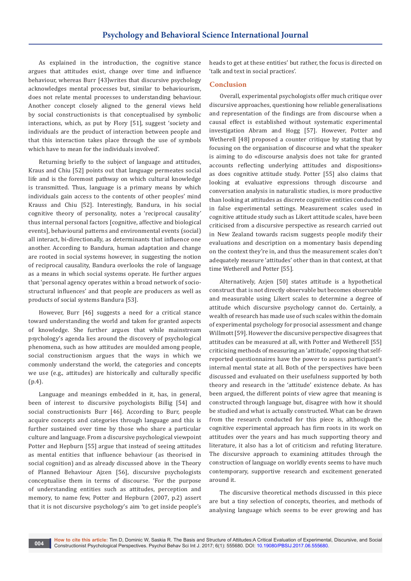As explained in the introduction, the cognitive stance argues that attitudes exist, change over time and influence behaviour, whereas Burr [43]writes that discursive psychology acknowledges mental processes but, similar to behaviourism, does not relate mental processes to understanding behaviour. Another concept closely aligned to the general views held by social constructionists is that conceptualised by symbolic interactions, which, as put by Flory [51], suggest 'society and individuals are the product of interaction between people and that this interaction takes place through the use of symbols which have to mean for the individuals involved'.

Returning briefly to the subject of language and attitudes, Kraus and Chiu [52] points out that language permeates social life and is the foremost pathway on which cultural knowledge is transmitted. Thus, language is a primary means by which individuals gain access to the contents of other peoples' mind Krauss and Chiu [52]. Interestingly, Bandura, in his social cognitive theory of personality, notes a 'reciprocal causality' thus internal personal factors [cognitive, affective and biological events], behavioural patterns and environmental events (social) all interact, bi-directionally, as determinants that influence one another. According to Bandura, human adaptation and change are rooted in social systems however, in suggesting the notion of reciprocal causality, Bandura overlooks the role of language as a means in which social systems operate. He further argues that 'personal agency operates within a broad network of sociostructural influences' and that people are producers as well as products of social systems Bandura [53].

However, Burr [46] suggests a need for a critical stance toward understanding the world and taken for granted aspects of knowledge. She further argues that while mainstream psychology's agenda lies around the discovery of psychological phenomena, such as how attitudes are moulded among people, social constructionism argues that the ways in which we commonly understand the world, the categories and concepts we use (e.g., attitudes) are historically and culturally specific (p.4).

Language and meanings embedded in it, has, in general, been of interest to discursive psychologists Billig [54] and social constructionists Burr [46]. According to Burr, people acquire concepts and categories through language and this is further sustained over time by those who share a particular culture and language. From a discursive psychological viewpoint Potter and Hepburn [55] argue that instead of seeing attitudes as mental entities that influence behaviour (as theorised in social cognition) and as already discussed above in the Theory of Planned Behaviour Ajzen [56], discursive psychologists conceptualise them in terms of discourse. 'For the purpose of understanding entities such as attitudes, perception and memory, to name few, Potter and Hepburn (2007, p.2) assert that it is not discursive psychology's aim 'to get inside people's heads to get at these entities' but rather, the focus is directed on 'talk and text in social practices'.

# **Conclusion**

Overall, experimental psychologists offer much critique over discursive approaches, questioning how reliable generalisations and representation of the findings are from discourse when a causal effect is established without systematic experimental investigation Abram and Hogg [57]. However, Potter and Wetherell [48] proposed a counter critique by stating that by focusing on the organisation of discourse and what the speaker is aiming to do «discourse analysis does not take for granted accounts reflecting underlying attitudes and dispositions» as does cognitive attitude study. Potter [55] also claims that looking at evaluative expressions through discourse and conversation analysis in naturalistic studies, is more productive than looking at attitudes as discrete cognitive entities conducted in false experimental settings. Measurement scales used in cognitive attitude study such as Likert attitude scales, have been criticised from a discursive perspective as research carried out in New Zealand towards racism suggests people modify their evaluations and description on a momentary basis depending on the context they're in, and thus the measurement scales don't adequately measure 'attitudes' other than in that context, at that time Wetherell and Potter [55].

Alternatively, Azjen [50] states attitude is a hypothetical construct that is not directly observable but becomes observable and measurable using Likert scales to determine a degree of attitude which discursive psychology cannot do. Certainly, a wealth of research has made use of such scales within the domain of experimental psychology for prosocial assessment and change Willmott [59]. However the discursive perspective disagrees that attitudes can be measured at all, with Potter and Wetherell [55] criticising methods of measuring an 'attitude,' opposing that selfreported questionnaires have the power to assess participant's internal mental state at all. Both of the perspectives have been discussed and evaluated on their usefulness supported by both theory and research in the 'attitude' existence debate. As has been argued, the different points of view agree that meaning is constructed through language but, disagree with how it should be studied and what is actually constructed. What can be drawn from the research conducted for this piece is, although the cognitive experimental approach has firm roots in its work on attitudes over the years and has much supporting theory and literature, it also has a lot of criticism and refuting literature. The discursive approach to examining attitudes through the construction of language on worldly events seems to have much contemporary, supportive research and excitement generated around it.

The discursive theoretical methods discussed in this piece are but a tiny selection of concepts, theories, and methods of analysing language which seems to be ever growing and has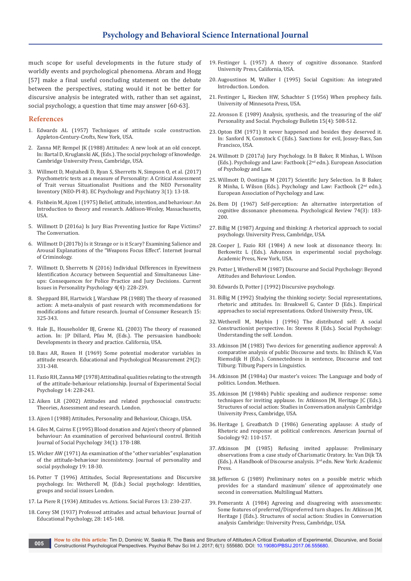much scope for useful developments in the future study of worldly events and psychological phenomena. Abram and Hogg [57] make a final useful concluding statement on the debate between the perspectives, stating would it not be better for discursive analysis be integrated with, rather than set against, social psychology, a question that time may answer [60-63].

#### **References**

- 1. Edwards AL (1957) Techniques of attitude scale construction. Appleton-Century-Crofts, New York, USA.
- 2. Zanna MP, Rempel JK (1988) Attitudes: A new look at an old concept. In: Bartal D, Kruglanski AK, (Eds.). The social psychology of knowledge. Cambridge University Press, Cambridge, USA.
- 3. [Willmott D, Mojtahedi D, Ryan S, Sherretts N, Simpson O, et al. \(2017\)](https://www.ecronicon.com/ecpp/pdf/ECPP-03-00077.pdf)  [Psychometric tests as a measure of Personality: A Critical Assessment](https://www.ecronicon.com/ecpp/pdf/ECPP-03-00077.pdf)  [of Trait versus Situationalist Positions and the NEO Personality](https://www.ecronicon.com/ecpp/pdf/ECPP-03-00077.pdf)  [Inventory \(NEO-PI-R\). EC Psychology and Psychiatry 3\(1\): 13-18.](https://www.ecronicon.com/ecpp/pdf/ECPP-03-00077.pdf)
- 4. Fishbein M, Ajzen I (1975) Belief, attitude, intention, and behaviour: An Introduction to theory and research. Addison-Wesley, Massachusetts, USA.
- 5. Willmott D (2016a) Is Jury Bias Preventing Justice for Rape Victims? The Conversation.
- 6. Willmott D (2017b) Is it Strange or is it Scary? Examining Salience and Arousal Explanations of the "Weapons Focus Effect". Internet Journal of Criminology.
- 7. Willmott D, Sherretts N (2016) Individual Differences in Eyewitness Identification Accuracy between Sequential and Simultaneous Lineups: Consequences for Police Practice and Jury Decisions. Current Issues in Personality Psychology 4(4): 228-239.
- 8. Sheppard BH, Hartwick J, Warshaw PR (1988) The theory of reasoned action: A meta-analysis of past research with recommendations for modifications and future research. Journal of Consumer Research 15: 325-343.
- 9. Hale JL, Householder BJ, Greene KL (2003) The theory of reasoned action. In: JP Dillard, Pfau M, (Eds.). The persuasion handbook: Developments in theory and practice. California, USA.
- 10. [Bass AR, Rosen H \(1969\) Some potential moderator variables in](http://journals.sagepub.com/doi/abs/10.1177/001316446902900208?journalCode=epma)  [attitude research. Educational and Psychological Measurement 29\(2\):](http://journals.sagepub.com/doi/abs/10.1177/001316446902900208?journalCode=epma)  [331-348.](http://journals.sagepub.com/doi/abs/10.1177/001316446902900208?journalCode=epma)
- 11. [Fazio RH, Zanna MP \(1978\) Attitudinal qualities relating to the strength](https://www.researchgate.net/publication/222162427_Attitude_qualities_relating_to_the_strength_of_attitude-behavior_relationship)  [of the attitude-behaviour relationship. Journal of Experimental Social](https://www.researchgate.net/publication/222162427_Attitude_qualities_relating_to_the_strength_of_attitude-behavior_relationship)  [Psychology 14: 228-243.](https://www.researchgate.net/publication/222162427_Attitude_qualities_relating_to_the_strength_of_attitude-behavior_relationship)
- 12. Aiken LR (2002) Attitudes and related psychosocial constructs: Theories, Assessment and research. London.
- 13. Ajzen I (1988) Attitudes, Personality and Behaviour, Chicago, USA.
- 14. [Giles M, Cairns E \(1995\) Blood donation and Azjen's theory of planned](https://www.ncbi.nlm.nih.gov/pubmed/7620844)  [behaviour: An examination of perceived behavioural control. British](https://www.ncbi.nlm.nih.gov/pubmed/7620844)  [Journal of Social Psychology 34\(1\): 178-188.](https://www.ncbi.nlm.nih.gov/pubmed/7620844)
- 15. Wicker AW (1971) An examination of the "other variables" explanation of the attitude-behaviour inconsistency. Journal of personality and social psychology 19: 18-30.
- 16. Potter T (1996) Attitudes, Social Representations and Discursive psychology. In: Wetherell M, (Eds.) Social psychology: Identities, groups and social issues London.
- 17. La Piere R (1934) Attitudes vs. Actions. Social Forces 13: 230-237.
- 18. [Corey SM \(1937\) Professed attitudes and actual behaviour. Journal of](https://www.researchgate.net/publication/232460544_Professed_attitudes_and_actual_behavior)  [Educational Psychology, 28: 145-148.](https://www.researchgate.net/publication/232460544_Professed_attitudes_and_actual_behavior)
- 19. Festinger L (1957) A theory of cognitive dissonance. Stanford University Press, California, USA.
- 20. Augoustinos M, Walker I (1995) Social Cognition: An integrated Introduction. London.
- 21. Festinger L, Riecken HW, Schachter S (1956) When prophecy fails. University of Minnesota Press, USA.
- 22. Aronson E (1989) Analysis, synthesis, and the treasuring of the old' Personality and Social. Psychology Bulletin 15(4): 508-512.
- 23. Opton EM (1971) It never happened and besides they deserved it. In: Sanford N, Comstock C (Eds.). Sanctions for evil, Jossey-Bass, San Francisco, USA.
- 24. Willmott D (2017a) Jury Psychology. In B Baker, R Minhas, L Wilson (Eds.). Psychology and Law: Factbook (2nd edn.). European Association of Psychology and Law.
- 25. Willmott D, Oostinga M (2017) Scientific Jury Selection. In B Baker, R Minha, L Wilson (Eds.). Psychology and Law: Factbook (2nd edn.). European Association of Psychology and Law.
- 26. [Bem DJ \(1967\) Self-perception: An alternative interpretation of](https://www.ncbi.nlm.nih.gov/pubmed/5342882)  [cognitive dissonance phenomena. Psychological Review 74\(3\): 183-](https://www.ncbi.nlm.nih.gov/pubmed/5342882) [200.](https://www.ncbi.nlm.nih.gov/pubmed/5342882)
- 27. Billig M (1987) Arguing and thinking: A rhetorical approach to social psychology. University Press, Cambridge, USA.
- 28. Cooper J, Fazio RH (1984) A new look at dissonance theory. In: Berkowitz L (Eds.). Advances in experimental social psychology. Academic Press, New York, USA.
- 29. [Potter J, Wetherell M \(1987\) Discourse and Social Psychology: Beyond](https://us.sagepub.com/en-us/nam/discourse-and-social-psychology/book202303/)  [Attitudes and Behaviour. London.](https://us.sagepub.com/en-us/nam/discourse-and-social-psychology/book202303/)
- 30. Edwards D, Potter J (1992) Discursive psychology.
- 31. Billig M (1992) Studying the thinking society: Social representations, rhetoric and attitudes. In: Breakwell G, Canter D (Eds.). Empirical approaches to social representations. Oxford University Press, UK.
- 32. Wetherell M, Maybin J (1996) The distributed self: A social Constructionist perspective. In: Stevens R (Eds.). Social Psychology: Understanding the self. London.
- 33. Atkinson JM (1983) Two devices for generating audience approval: A comparative analysis of public Discourse and texts. In: Ehlinch K, Van Riemsdijk H (Eds.). Connectedness in sentence, Discourse and text Tilburg: Tilburg Papers in Linguistics.
- 34. Atkinson JM (1984a) Our master's voices: The Language and body of politics. London. Methuen.
- 35. Atkinson JM (1984b) Public speaking and audience response: some techniques for inviting applause. In: Atkinson JM, Heritage JC (Eds.). Structures of social action: Studies in Conversation analysis Cambridge University Press, Cambridge, USA.
- 36. Heritage J, Greatbatch D (1986) Generating applause: A study of Rhetoric and response at political conferences. American Journal of Sociology 92: 110-157.
- 37. Atkinson JM (1985) Refusing invited applause: Preliminary observations from a case study of Charismatic Oratory. In: Van Dijk TA (Eds.). A Handbook of Discourse analysis. 3rd edn. New York: Academic Press.
- 38. Jefferson G (1989) Preliminary notes on a possible metric which provides for a standard maximum' silence of approximately one second in conversation. Multilingual Matters.
- 39. Pomerantz A (1984) Agreeing and disagreeing with assessments: Some features of preferred/Dispreferred turn shapes. In: Atkinson JM, Heritage J (Eds.). Structures of social action: Studies in Conversation analysis Cambridge: University Press, Cambridge, USA.

**How to cite this article:** Tim D, Dominic W, Saskia R. The Basis and Structure of Attitudes:A Critical Evaluation of Experimental, Discursive, and Social Constructionist Psychological Perspectives. Psychol Behav Sci Int J. 2017; 6(1): 555680. DOI: [10.19080/PBSIJ.2017.06.5556](http://dx.doi.org/10.19080/PBSIJ.2017.06.555680)80. **005**